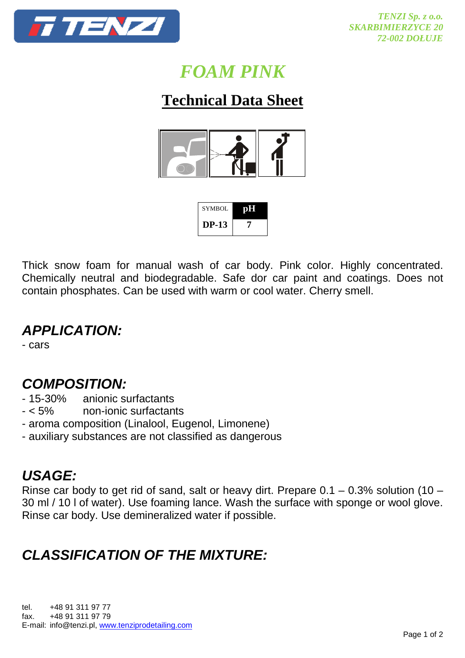

# *FOAM PINK*

## **Technical Data Sheet**



| SYMBOL       | <b>TOHL</b> |
|--------------|-------------|
| <b>DP-13</b> |             |

Thick snow foam for manual wash of car body. Pink color. Highly concentrated. Chemically neutral and biodegradable. Safe dor car paint and coatings. Does not contain phosphates. Can be used with warm or cool water. Cherry smell.

### **APPLICATION:**

- cars

#### **COMPOSITION:**

- 15-30% anionic surfactants
- < 5% non-ionic surfactants
- aroma composition (Linalool, Eugenol, Limonene)
- auxiliary substances are not classified as dangerous

### **USAGE:**

Rinse car body to get rid of sand, salt or heavy dirt. Prepare  $0.1 - 0.3\%$  solution (10 – 30 ml / 10 l of water). Use foaming lance. Wash the surface with sponge or wool glove. Rinse car body. Use demineralized water if possible.

## **CLASSIFICATION OF THE MIXTURE:**